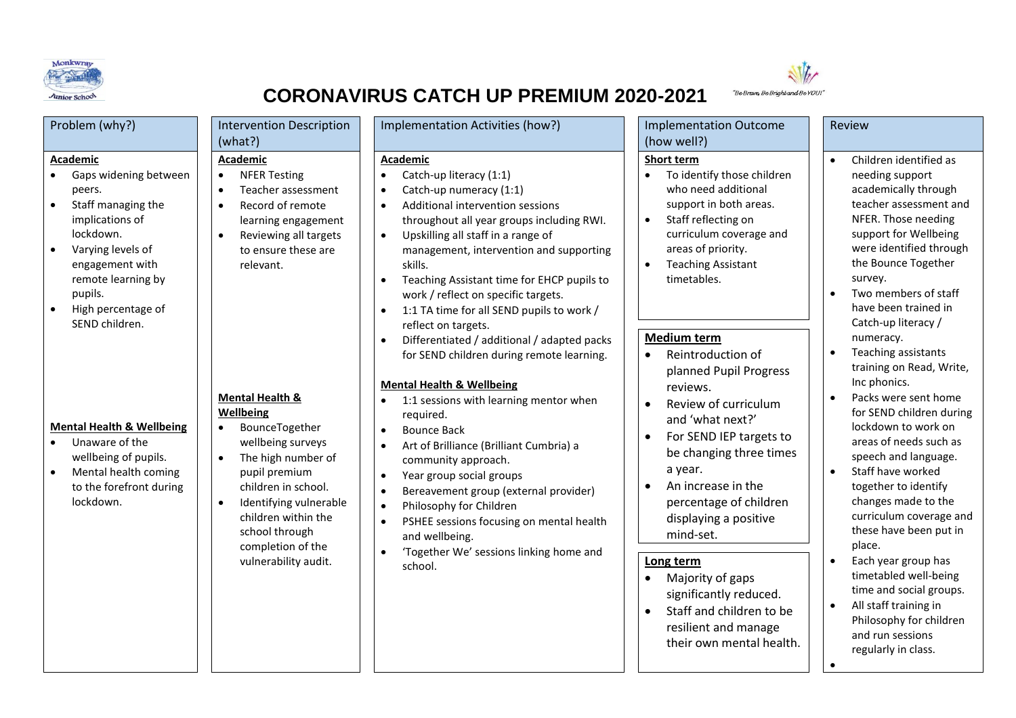



## **CORONAVIRUS CATCH UP PREMIUM 2020-2021**

| Problem (why?)                                                                                                                                                                                                                                                                                                                                                              | <b>Intervention Description</b>                                                                                                                                                                                                                                                                                                                                                     | Implementation Activities (how?)                                                                                                                                                                                                                                                                                                                                                                                                                                                                                                                                                                                                                                                                                                                                                                                                                                                                                                | <b>Implementation Outcome</b>                                                                                                                                                                                                                                                                                                                                                                                                                                                                              | Review                                                                                                                                                                                                                                                                                                                                                                                                                                                                                                                                                                                                     |
|-----------------------------------------------------------------------------------------------------------------------------------------------------------------------------------------------------------------------------------------------------------------------------------------------------------------------------------------------------------------------------|-------------------------------------------------------------------------------------------------------------------------------------------------------------------------------------------------------------------------------------------------------------------------------------------------------------------------------------------------------------------------------------|---------------------------------------------------------------------------------------------------------------------------------------------------------------------------------------------------------------------------------------------------------------------------------------------------------------------------------------------------------------------------------------------------------------------------------------------------------------------------------------------------------------------------------------------------------------------------------------------------------------------------------------------------------------------------------------------------------------------------------------------------------------------------------------------------------------------------------------------------------------------------------------------------------------------------------|------------------------------------------------------------------------------------------------------------------------------------------------------------------------------------------------------------------------------------------------------------------------------------------------------------------------------------------------------------------------------------------------------------------------------------------------------------------------------------------------------------|------------------------------------------------------------------------------------------------------------------------------------------------------------------------------------------------------------------------------------------------------------------------------------------------------------------------------------------------------------------------------------------------------------------------------------------------------------------------------------------------------------------------------------------------------------------------------------------------------------|
|                                                                                                                                                                                                                                                                                                                                                                             |                                                                                                                                                                                                                                                                                                                                                                                     |                                                                                                                                                                                                                                                                                                                                                                                                                                                                                                                                                                                                                                                                                                                                                                                                                                                                                                                                 |                                                                                                                                                                                                                                                                                                                                                                                                                                                                                                            |                                                                                                                                                                                                                                                                                                                                                                                                                                                                                                                                                                                                            |
| <b>Academic</b><br>Gaps widening between<br>peers.<br>Staff managing the<br>implications of<br>lockdown.<br>Varying levels of<br>$\bullet$<br>engagement with<br>remote learning by<br>pupils.<br>High percentage of<br>SEND children.<br><b>Mental Health &amp; Wellbeing</b><br>Unaware of the<br>wellbeing of pupils.<br>Mental health coming<br>to the forefront during | (what?)<br>Academic<br><b>NFER Testing</b><br>$\bullet$<br>Teacher assessment<br>$\bullet$<br>Record of remote<br>$\bullet$<br>learning engagement<br>Reviewing all targets<br>$\bullet$<br>to ensure these are<br>relevant.<br><b>Mental Health &amp;</b><br><b>Wellbeing</b><br>BounceTogether<br>wellbeing surveys<br>The high number of<br>pupil premium<br>children in school. | <b>Academic</b><br>Catch-up literacy (1:1)<br>$\bullet$<br>Catch-up numeracy (1:1)<br>$\bullet$<br>Additional intervention sessions<br>$\bullet$<br>throughout all year groups including RWI.<br>Upskilling all staff in a range of<br>$\bullet$<br>management, intervention and supporting<br>skills.<br>Teaching Assistant time for EHCP pupils to<br>$\bullet$<br>work / reflect on specific targets.<br>1:1 TA time for all SEND pupils to work /<br>$\bullet$<br>reflect on targets.<br>Differentiated / additional / adapted packs<br>$\bullet$<br>for SEND children during remote learning.<br><b>Mental Health &amp; Wellbeing</b><br>1:1 sessions with learning mentor when<br>$\bullet$<br>required.<br><b>Bounce Back</b><br>$\bullet$<br>Art of Brilliance (Brilliant Cumbria) a<br>$\bullet$<br>community approach.<br>Year group social groups<br>$\bullet$<br>Bereavement group (external provider)<br>$\bullet$ | (how well?)<br>Short term<br>To identify those children<br>who need additional<br>support in both areas.<br>Staff reflecting on<br>$\bullet$<br>curriculum coverage and<br>areas of priority.<br><b>Teaching Assistant</b><br>$\bullet$<br>timetables.<br>Medium term<br>Reintroduction of<br>$\bullet$<br>planned Pupil Progress<br>reviews.<br>Review of curriculum<br>and 'what next?'<br>For SEND IEP targets to<br>$\bullet$<br>be changing three times<br>a year.<br>An increase in the<br>$\bullet$ | Children identified as<br>$\bullet$<br>needing support<br>academically through<br>teacher assessment and<br>NFER. Those needing<br>support for Wellbeing<br>were identified through<br>the Bounce Together<br>survey.<br>Two members of staff<br>$\bullet$<br>have been trained in<br>Catch-up literacy /<br>numeracy.<br>Teaching assistants<br>$\bullet$<br>training on Read, Write,<br>Inc phonics.<br>Packs were sent home<br>$\bullet$<br>for SEND children during<br>lockdown to work on<br>areas of needs such as<br>speech and language.<br>Staff have worked<br>$\bullet$<br>together to identify |
| lockdown.                                                                                                                                                                                                                                                                                                                                                                   | Identifying vulnerable<br>children within the<br>school through<br>completion of the<br>vulnerability audit.                                                                                                                                                                                                                                                                        | Philosophy for Children<br>$\bullet$<br>PSHEE sessions focusing on mental health<br>$\bullet$<br>and wellbeing.<br>'Together We' sessions linking home and<br>$\bullet$<br>school.                                                                                                                                                                                                                                                                                                                                                                                                                                                                                                                                                                                                                                                                                                                                              | percentage of children<br>displaying a positive<br>mind-set.<br>Long term<br>Majority of gaps<br>$\bullet$<br>significantly reduced.<br>Staff and children to be<br>$\bullet$<br>resilient and manage<br>their own mental health.                                                                                                                                                                                                                                                                          | changes made to the<br>curriculum coverage and<br>these have been put in<br>place.<br>Each year group has<br>$\bullet$<br>timetabled well-being<br>time and social groups.<br>All staff training in<br>$\bullet$<br>Philosophy for children<br>and run sessions<br>regularly in class.                                                                                                                                                                                                                                                                                                                     |